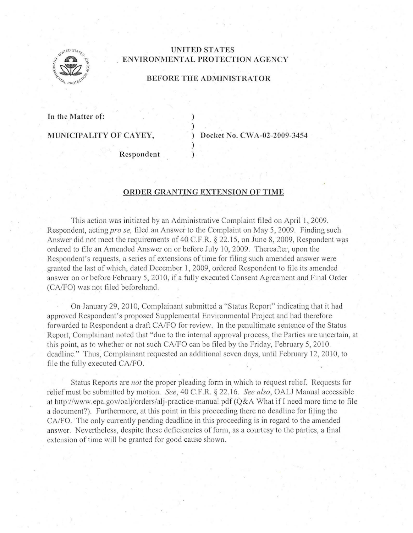

## **UNITED STATES ENVIRONMENTAL PROTECTION AGENCY**

## **BEFORE THE ADMINISTRATOR**

) )

)

**In the Matter of:** 

**MUNICIPALITY OF CAYEY,** ) **Docket No. CWA-02-2009-3454** 

**Respondent** )

## **ORDER GRANTING EXTENSION OF TIME**

This action was initiated by an Administrative Complaint filed on April 1, 2009. Respondent, acting *pro se*, filed an Answer to the Complaint on May 5, 2009. Finding such Answer did not meet the requirements of 40 C.F.R.  $\S$  22.15, on June 8, 2009, Respondent was ordered to file an Amended Answer on or before July 10, 2009. Thereafter, upon the Respondent's requests, a series of extensions of time for filing such amended answer were granted the last of which, dated December 1, 2009, ordered Respondent to file its amended answer on or before February 5, 2010, if a fully executed Consent Agreement and Final Order (CA/FO) was not filed beforehand.

On January 29, 2010, Complainant submitted a "Status Report" indicating that it had approved Respondent's proposed Supplemental Environmental Project and had therefore forwarded to Respondent a draft CA/FO for review. In the penultimate sentence of the Status Report, Complainant noted that "due to the internal approval process, the Parties are uncertain, at this point, as to whether or not such CA/FO can be filed by the Friday, February 5, 2010. deadline." Thus, Complainant requested an additional seven days, until February 12, 2010, to file the fully executed CA/FO.

Status Reports are *not* the proper pleading form in which to request relief. Requests for relief must be submitted by motion. *See,* 40 C.F.R. § 22.16. *See also,* OALJ Manual accessible at http://www.epa.gov/oalj/orclers/alj-practice-manual.pdf (Q&A What if I need more time to file a document?). Furthermore, at this point in this proceeding there no deadline for filing the CA/FO. The only currently pending deadline in this proceeding is in regard to the amended answer. Nevertheless, despite these deficiencies of form, as a courtesy to the parties, a final extension of time will be granted for good cause shown.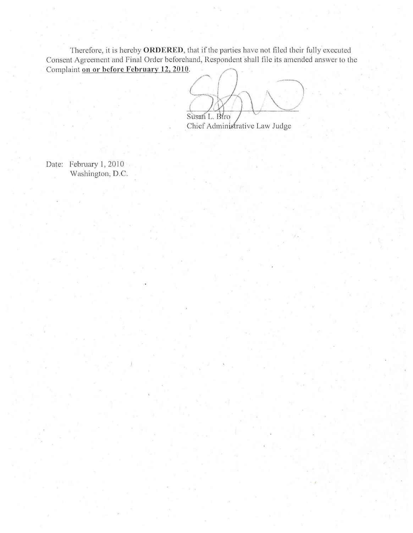Therefore, it is hereby ORDERED, that if the parties have not filed their fully executed Consent Agreement and Final Order beforehand, Respondent shall file its amended answer to the Complaint on or before February 12, 2010.

Susan L. Biro Chief Administrative Law Judge

Date: February 1, 2010 Washington, D.C.